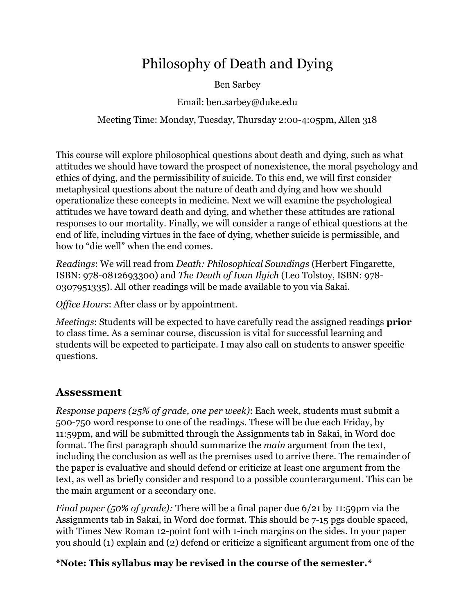# Philosophy of Death and Dying

Ben Sarbey

Email: ben.sarbey@duke.edu

Meeting Time: Monday, Tuesday, Thursday 2:00-4:05pm, Allen 318

This course will explore philosophical questions about death and dying, such as what attitudes we should have toward the prospect of nonexistence, the moral psychology and ethics of dying, and the permissibility of suicide. To this end, we will first consider metaphysical questions about the nature of death and dying and how we should operationalize these concepts in medicine. Next we will examine the psychological attitudes we have toward death and dying, and whether these attitudes are rational responses to our mortality. Finally, we will consider a range of ethical questions at the end of life, including virtues in the face of dying, whether suicide is permissible, and how to "die well" when the end comes.

*Readings*: We will read from *Death: Philosophical Soundings* (Herbert Fingarette, ISBN: 978-0812693300) and *The Death of Ivan Ilyich* (Leo Tolstoy, ISBN: 978- 0307951335). All other readings will be made available to you via Sakai.

*Office Hours*: After class or by appointment.

*Meetings*: Students will be expected to have carefully read the assigned readings **prior** to class time. As a seminar course, discussion is vital for successful learning and students will be expected to participate. I may also call on students to answer specific questions.

## **Assessment**

*Response papers (25% of grade, one per week)*: Each week, students must submit a 500-750 word response to one of the readings. These will be due each Friday, by 11:59pm, and will be submitted through the Assignments tab in Sakai, in Word doc format. The first paragraph should summarize the *main* argument from the text, including the conclusion as well as the premises used to arrive there. The remainder of the paper is evaluative and should defend or criticize at least one argument from the text, as well as briefly consider and respond to a possible counterargument. This can be the main argument or a secondary one.

*Final paper (50% of grade):* There will be a final paper due 6/21 by 11:59pm via the Assignments tab in Sakai, in Word doc format. This should be 7-15 pgs double spaced, with Times New Roman 12-point font with 1-inch margins on the sides. In your paper you should (1) explain and (2) defend or criticize a significant argument from one of the

### **\*Note: This syllabus may be revised in the course of the semester.\***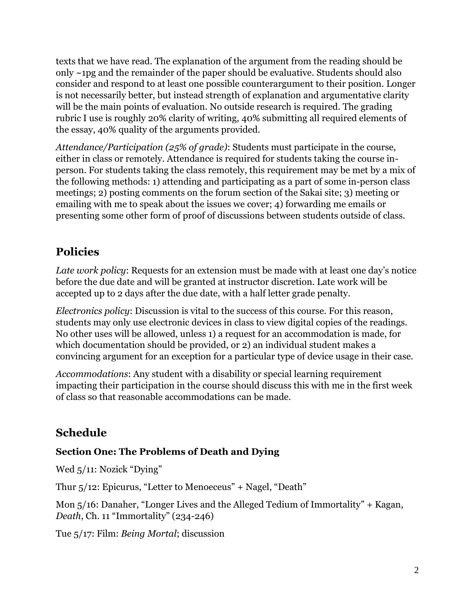texts that we have read. The explanation of the argument from the reading should be only ~1pg and the remainder of the paper should be evaluative. Students should also consider and respond to at least one possible counterargument to their position. Longer is not necessarily better, but instead strength of explanation and argumentative clarity will be the main points of evaluation. No outside research is required. The grading rubric I use is roughly 20% clarity of writing, 40% submitting all required elements of the essay, 40% quality of the arguments provided.

*Attendance/Participation (25% of grade)*: Students must participate in the course, either in class or remotely. Attendance is required for students taking the course inperson. For students taking the class remotely, this requirement may be met by a mix of the following methods: 1) attending and participating as a part of some in-person class meetings; 2) posting comments on the forum section of the Sakai site; 3) meeting or emailing with me to speak about the issues we cover; 4) forwarding me emails or presenting some other form of proof of discussions between students outside of class.

# **Policies**

*Late work policy*: Requests for an extension must be made with at least one day's notice before the due date and will be granted at instructor discretion. Late work will be accepted up to 2 days after the due date, with a half letter grade penalty.

*Electronics policy*: Discussion is vital to the success of this course. For this reason, students may only use electronic devices in class to view digital copies of the readings. No other uses will be allowed, unless 1) a request for an accommodation is made, for which documentation should be provided, or 2) an individual student makes a convincing argument for an exception for a particular type of device usage in their case.

*Accommodations*: Any student with a disability or special learning requirement impacting their participation in the course should discuss this with me in the first week of class so that reasonable accommodations can be made.

## **Schedule**

#### **Section One: The Problems of Death and Dying**

Wed  $5/11$ : Nozick "Dying"

Thur 5/12: Epicurus, "Letter to Menoeceus" + Nagel, "Death"

Mon 5/16: Danaher, "Longer Lives and the Alleged Tedium of Immortality" + Kagan, *Death*, Ch. 11 "Immortality" (234-246)

Tue 5/17: Film: *Being Mortal*; discussion